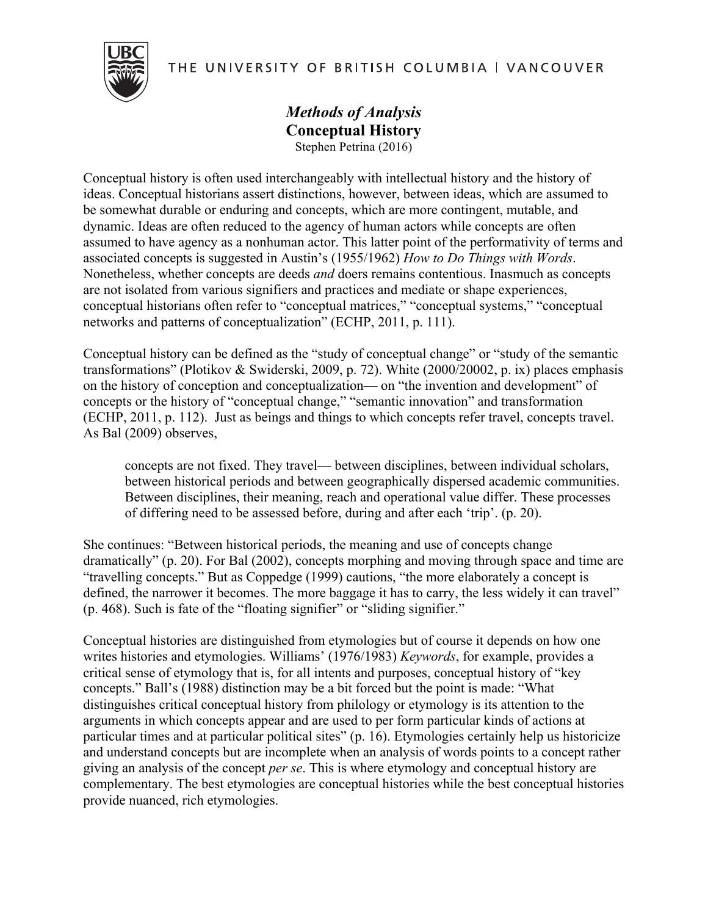THE UNIVERSITY OF BRITISH COLUMBIA | VANCOUVER



## *Methods of Analysis* **Conceptual History** Stephen Petrina (2016)

Conceptual history is often used interchangeably with intellectual history and the history of ideas. Conceptual historians assert distinctions, however, between ideas, which are assumed to be somewhat durable or enduring and concepts, which are more contingent, mutable, and dynamic. Ideas are often reduced to the agency of human actors while concepts are often assumed to have agency as a nonhuman actor. This latter point of the performativity of terms and associated concepts is suggested in Austin's (1955/1962) *How to Do Things with Words*. Nonetheless, whether concepts are deeds *and* doers remains contentious. Inasmuch as concepts are not isolated from various signifiers and practices and mediate or shape experiences, conceptual historians often refer to "conceptual matrices," "conceptual systems," "conceptual networks and patterns of conceptualization" (ECHP, 2011, p. 111).

Conceptual history can be defined as the "study of conceptual change" or "study of the semantic transformations" (Plotikov & Swiderski, 2009, p. 72). White (2000/20002, p. ix) places emphasis on the history of conception and conceptualization— on "the invention and development" of concepts or the history of "conceptual change," "semantic innovation" and transformation (ECHP, 2011, p. 112). Just as beings and things to which concepts refer travel, concepts travel. As Bal (2009) observes,

concepts are not fixed. They travel— between disciplines, between individual scholars, between historical periods and between geographically dispersed academic communities. Between disciplines, their meaning, reach and operational value differ. These processes of differing need to be assessed before, during and after each 'trip'. (p. 20).

She continues: "Between historical periods, the meaning and use of concepts change dramatically" (p. 20). For Bal (2002), concepts morphing and moving through space and time are "travelling concepts." But as Coppedge (1999) cautions, "the more elaborately a concept is defined, the narrower it becomes. The more baggage it has to carry, the less widely it can travel" (p. 468). Such is fate of the "floating signifier" or "sliding signifier."

Conceptual histories are distinguished from etymologies but of course it depends on how one writes histories and etymologies. Williams' (1976/1983) *Keywords*, for example, provides a critical sense of etymology that is, for all intents and purposes, conceptual history of "key concepts." Ball's (1988) distinction may be a bit forced but the point is made: "What distinguishes critical conceptual history from philology or etymology is its attention to the arguments in which concepts appear and are used to per form particular kinds of actions at particular times and at particular political sites" (p. 16). Etymologies certainly help us historicize and understand concepts but are incomplete when an analysis of words points to a concept rather giving an analysis of the concept *per se*. This is where etymology and conceptual history are complementary. The best etymologies are conceptual histories while the best conceptual histories provide nuanced, rich etymologies.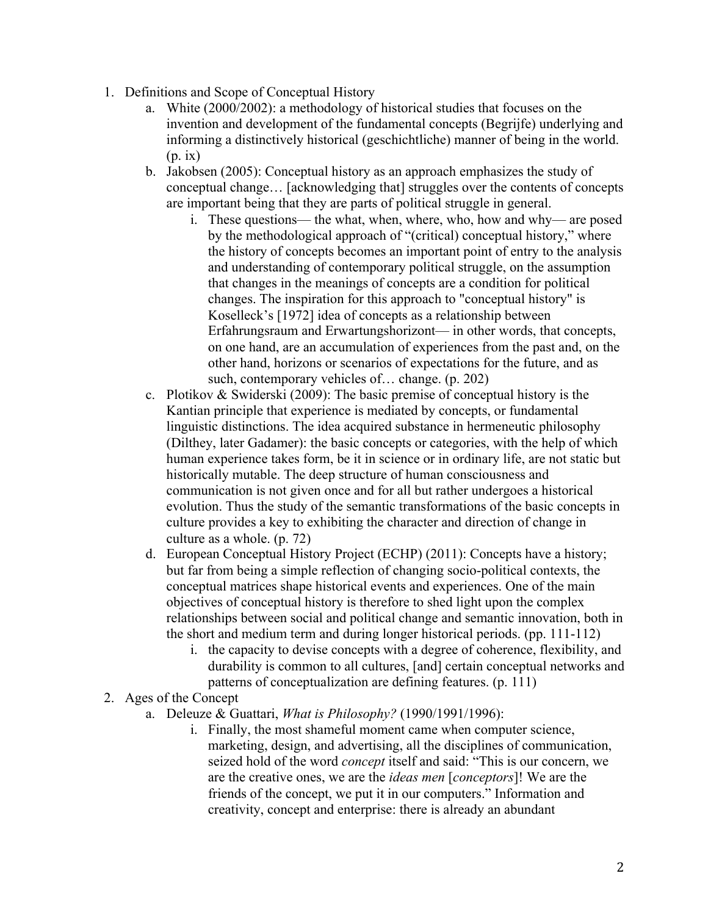- 1. Definitions and Scope of Conceptual History
	- a. White (2000/2002): a methodology of historical studies that focuses on the invention and development of the fundamental concepts (Begrijfe) underlying and informing a distinctively historical (geschichtliche) manner of being in the world. (p. ix)
	- b. Jakobsen (2005): Conceptual history as an approach emphasizes the study of conceptual change… [acknowledging that] struggles over the contents of concepts are important being that they are parts of political struggle in general.
		- i. These questions— the what, when, where, who, how and why— are posed by the methodological approach of "(critical) conceptual history," where the history of concepts becomes an important point of entry to the analysis and understanding of contemporary political struggle, on the assumption that changes in the meanings of concepts are a condition for political changes. The inspiration for this approach to "conceptual history" is Koselleck's [1972] idea of concepts as a relationship between Erfahrungsraum and Erwartungshorizont— in other words, that concepts, on one hand, are an accumulation of experiences from the past and, on the other hand, horizons or scenarios of expectations for the future, and as such, contemporary vehicles of… change. (p. 202)
	- c. Plotikov & Swiderski (2009): The basic premise of conceptual history is the Kantian principle that experience is mediated by concepts, or fundamental linguistic distinctions. The idea acquired substance in hermeneutic philosophy (Dilthey, later Gadamer): the basic concepts or categories, with the help of which human experience takes form, be it in science or in ordinary life, are not static but historically mutable. The deep structure of human consciousness and communication is not given once and for all but rather undergoes a historical evolution. Thus the study of the semantic transformations of the basic concepts in culture provides a key to exhibiting the character and direction of change in culture as a whole. (p. 72)
	- d. European Conceptual History Project (ECHP) (2011): Concepts have a history; but far from being a simple reflection of changing socio-political contexts, the conceptual matrices shape historical events and experiences. One of the main objectives of conceptual history is therefore to shed light upon the complex relationships between social and political change and semantic innovation, both in the short and medium term and during longer historical periods. (pp. 111-112)
		- i. the capacity to devise concepts with a degree of coherence, flexibility, and durability is common to all cultures, [and] certain conceptual networks and patterns of conceptualization are defining features. (p. 111)
- 2. Ages of the Concept
	- a. Deleuze & Guattari, *What is Philosophy?* (1990/1991/1996):
		- i. Finally, the most shameful moment came when computer science, marketing, design, and advertising, all the disciplines of communication, seized hold of the word *concept* itself and said: "This is our concern, we are the creative ones, we are the *ideas men* [*conceptors*]! We are the friends of the concept, we put it in our computers." Information and creativity, concept and enterprise: there is already an abundant